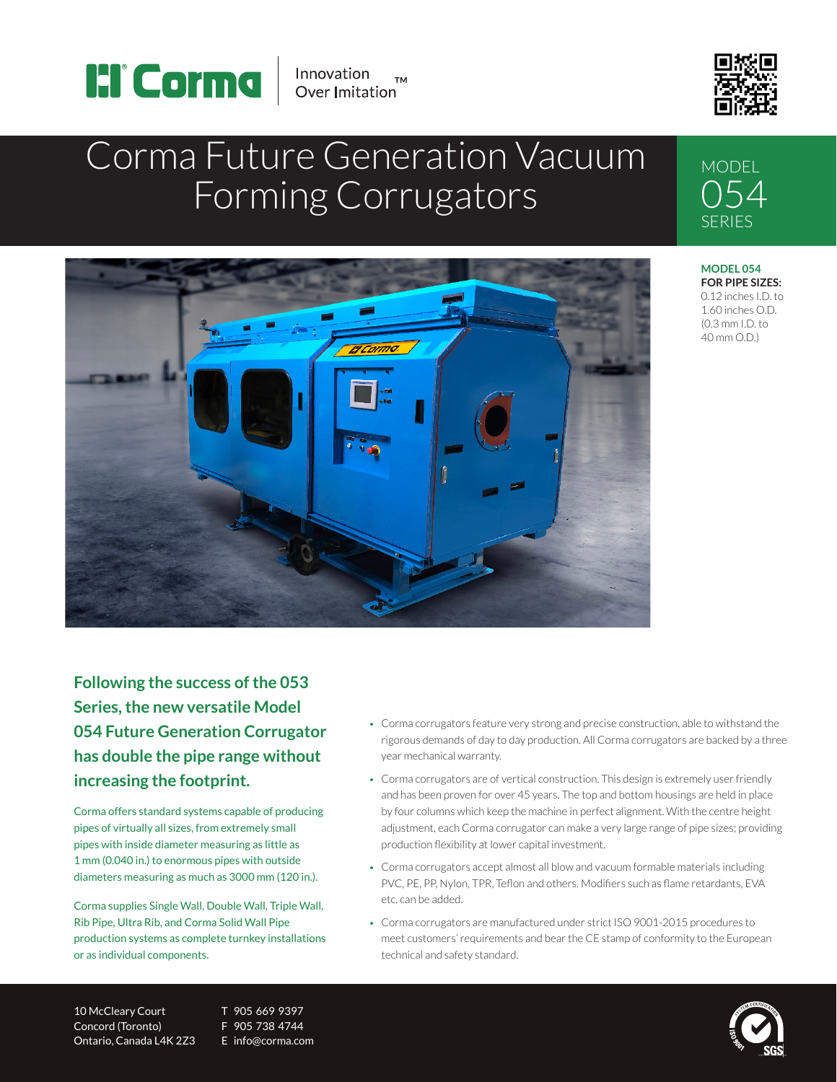



# Corma Future Generation Vacuum Forming Corrugators



SERIES **MODEL 054 FOR PIPE SIZES:** 0.12 inches I.D. to 1.60 inches O.D.

(0.3 mm I.D. to 40 mm O.D.)

**MODEL** 054

**Following the success of the 053 Series, the new versatile Model 054 Future Generation Corrugator has double the pipe range without increasing the footprint.**

Corma offers standard systems capable of producing pipes of virtually all sizes, from extremely small pipes with inside diameter measuring as little as 1 mm (0.040 in.) to enormous pipes with outside diameters measuring as much as 3000 mm (120 in.).

Corma supplies Single Wall, Double Wall, Triple Wall, Rib Pipe, Ultra Rib, and Corma Solid Wall Pipe production systems as complete turnkey installations or as individual components.

• Corma corrugators feature very strong and precise construction, able to withstand the rigorous demands of day to day production. All Corma corrugators are backed by a three year mechanical warranty.

- Corma corrugators are of vertical construction. This design is extremely user friendly and has been proven for over 45 years. The top and bottom housings are held in place by four columns which keep the machine in perfect alignment. With the centre height adjustment, each Corma corrugator can make a very large range of pipe sizes; providing production flexibility at lower capital investment.
- Corma corrugators accept almost all blow and vacuum formable materials including PVC, PE, PP, Nylon, TPR, Teflon and others. Modifiers such as flame retardants, EVA etc. can be added.
- Corma corrugators are manufactured under strict ISO 9001-2015 procedures to meet customers' requirements and bear the CE stamp of conformity to the European technical and safety standard.

10 McCleary Court T 905 669 9397 Concord (Toronto) F 905 738 4744 Ontario, Canada L4K 2Z3 E info@corma.com